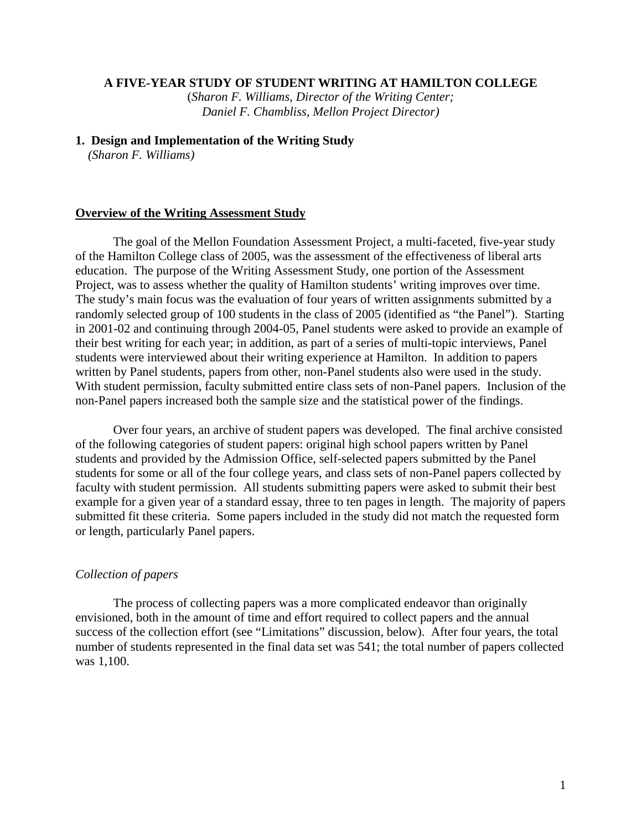# **A FIVE-YEAR STUDY OF STUDENT WRITING AT HAMILTON COLLEGE**

(*Sharon F. Williams, Director of the Writing Center; Daniel F. Chambliss, Mellon Project Director)* 

### **1. Design and Implementation of the Writing Study**

*(Sharon F. Williams)* 

### **Overview of the Writing Assessment Study**

The goal of the Mellon Foundation Assessment Project, a multi-faceted, five-year study of the Hamilton College class of 2005, was the assessment of the effectiveness of liberal arts education. The purpose of the Writing Assessment Study, one portion of the Assessment Project, was to assess whether the quality of Hamilton students' writing improves over time. The study's main focus was the evaluation of four years of written assignments submitted by a randomly selected group of 100 students in the class of 2005 (identified as "the Panel"). Starting in 2001-02 and continuing through 2004-05, Panel students were asked to provide an example of their best writing for each year; in addition, as part of a series of multi-topic interviews, Panel students were interviewed about their writing experience at Hamilton. In addition to papers written by Panel students, papers from other, non-Panel students also were used in the study. With student permission, faculty submitted entire class sets of non-Panel papers. Inclusion of the non-Panel papers increased both the sample size and the statistical power of the findings.

Over four years, an archive of student papers was developed. The final archive consisted of the following categories of student papers: original high school papers written by Panel students and provided by the Admission Office, self-selected papers submitted by the Panel students for some or all of the four college years, and class sets of non-Panel papers collected by faculty with student permission. All students submitting papers were asked to submit their best example for a given year of a standard essay, three to ten pages in length. The majority of papers submitted fit these criteria. Some papers included in the study did not match the requested form or length, particularly Panel papers.

#### *Collection of papers*

The process of collecting papers was a more complicated endeavor than originally envisioned, both in the amount of time and effort required to collect papers and the annual success of the collection effort (see "Limitations" discussion, below). After four years, the total number of students represented in the final data set was 541; the total number of papers collected was 1,100.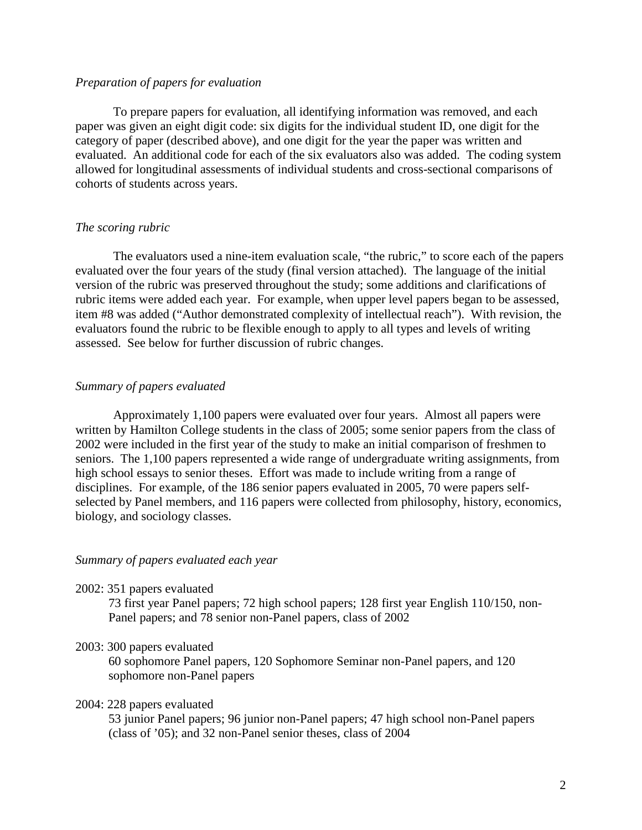## *Preparation of papers for evaluation*

To prepare papers for evaluation, all identifying information was removed, and each paper was given an eight digit code: six digits for the individual student ID, one digit for the category of paper (described above), and one digit for the year the paper was written and evaluated. An additional code for each of the six evaluators also was added. The coding system allowed for longitudinal assessments of individual students and cross-sectional comparisons of cohorts of students across years.

### *The scoring rubric*

The evaluators used a nine-item evaluation scale, "the rubric," to score each of the papers evaluated over the four years of the study (final version attached). The language of the initial version of the rubric was preserved throughout the study; some additions and clarifications of rubric items were added each year. For example, when upper level papers began to be assessed, item #8 was added ("Author demonstrated complexity of intellectual reach"). With revision, the evaluators found the rubric to be flexible enough to apply to all types and levels of writing assessed. See below for further discussion of rubric changes.

## *Summary of papers evaluated*

Approximately 1,100 papers were evaluated over four years. Almost all papers were written by Hamilton College students in the class of 2005; some senior papers from the class of 2002 were included in the first year of the study to make an initial comparison of freshmen to seniors. The 1,100 papers represented a wide range of undergraduate writing assignments, from high school essays to senior theses. Effort was made to include writing from a range of disciplines. For example, of the 186 senior papers evaluated in 2005, 70 were papers selfselected by Panel members, and 116 papers were collected from philosophy, history, economics, biology, and sociology classes.

## *Summary of papers evaluated each year*

2002: 351 papers evaluated

73 first year Panel papers; 72 high school papers; 128 first year English 110/150, non-Panel papers; and 78 senior non-Panel papers, class of 2002

## 2003: 300 papers evaluated

60 sophomore Panel papers, 120 Sophomore Seminar non-Panel papers, and 120 sophomore non-Panel papers

### 2004: 228 papers evaluated

53 junior Panel papers; 96 junior non-Panel papers; 47 high school non-Panel papers (class of '05); and 32 non-Panel senior theses, class of 2004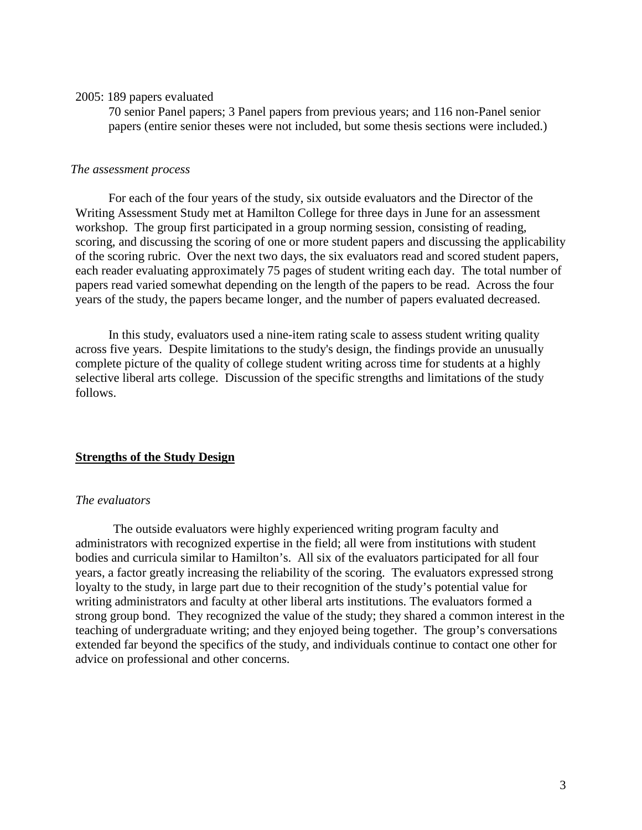### 2005: 189 papers evaluated

70 senior Panel papers; 3 Panel papers from previous years; and 116 non-Panel senior papers (entire senior theses were not included, but some thesis sections were included.)

## *The assessment process*

For each of the four years of the study, six outside evaluators and the Director of the Writing Assessment Study met at Hamilton College for three days in June for an assessment workshop. The group first participated in a group norming session, consisting of reading, scoring, and discussing the scoring of one or more student papers and discussing the applicability of the scoring rubric. Over the next two days, the six evaluators read and scored student papers, each reader evaluating approximately 75 pages of student writing each day. The total number of papers read varied somewhat depending on the length of the papers to be read. Across the four years of the study, the papers became longer, and the number of papers evaluated decreased.

In this study, evaluators used a nine-item rating scale to assess student writing quality across five years. Despite limitations to the study's design, the findings provide an unusually complete picture of the quality of college student writing across time for students at a highly selective liberal arts college. Discussion of the specific strengths and limitations of the study follows.

# **Strengths of the Study Design**

## *The evaluators*

The outside evaluators were highly experienced writing program faculty and administrators with recognized expertise in the field; all were from institutions with student bodies and curricula similar to Hamilton's. All six of the evaluators participated for all four years, a factor greatly increasing the reliability of the scoring. The evaluators expressed strong loyalty to the study, in large part due to their recognition of the study's potential value for writing administrators and faculty at other liberal arts institutions. The evaluators formed a strong group bond. They recognized the value of the study; they shared a common interest in the teaching of undergraduate writing; and they enjoyed being together. The group's conversations extended far beyond the specifics of the study, and individuals continue to contact one other for advice on professional and other concerns.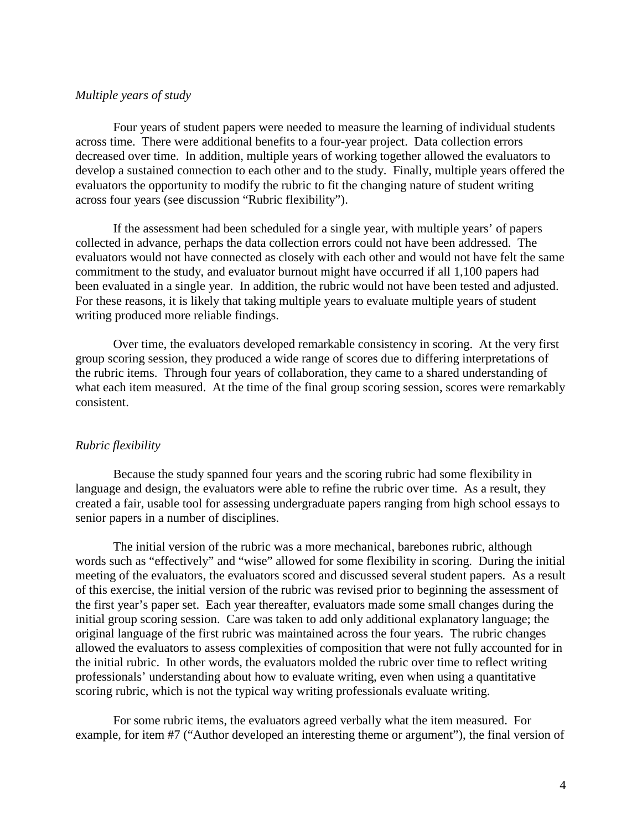## *Multiple years of study*

Four years of student papers were needed to measure the learning of individual students across time. There were additional benefits to a four-year project. Data collection errors decreased over time. In addition, multiple years of working together allowed the evaluators to develop a sustained connection to each other and to the study. Finally, multiple years offered the evaluators the opportunity to modify the rubric to fit the changing nature of student writing across four years (see discussion "Rubric flexibility").

If the assessment had been scheduled for a single year, with multiple years' of papers collected in advance, perhaps the data collection errors could not have been addressed. The evaluators would not have connected as closely with each other and would not have felt the same commitment to the study, and evaluator burnout might have occurred if all 1,100 papers had been evaluated in a single year. In addition, the rubric would not have been tested and adjusted. For these reasons, it is likely that taking multiple years to evaluate multiple years of student writing produced more reliable findings.

Over time, the evaluators developed remarkable consistency in scoring. At the very first group scoring session, they produced a wide range of scores due to differing interpretations of the rubric items. Through four years of collaboration, they came to a shared understanding of what each item measured. At the time of the final group scoring session, scores were remarkably consistent.

## *Rubric flexibility*

Because the study spanned four years and the scoring rubric had some flexibility in language and design, the evaluators were able to refine the rubric over time. As a result, they created a fair, usable tool for assessing undergraduate papers ranging from high school essays to senior papers in a number of disciplines.

The initial version of the rubric was a more mechanical, barebones rubric, although words such as "effectively" and "wise" allowed for some flexibility in scoring. During the initial meeting of the evaluators, the evaluators scored and discussed several student papers. As a result of this exercise, the initial version of the rubric was revised prior to beginning the assessment of the first year's paper set. Each year thereafter, evaluators made some small changes during the initial group scoring session. Care was taken to add only additional explanatory language; the original language of the first rubric was maintained across the four years. The rubric changes allowed the evaluators to assess complexities of composition that were not fully accounted for in the initial rubric. In other words, the evaluators molded the rubric over time to reflect writing professionals' understanding about how to evaluate writing, even when using a quantitative scoring rubric, which is not the typical way writing professionals evaluate writing.

For some rubric items, the evaluators agreed verbally what the item measured. For example, for item #7 ("Author developed an interesting theme or argument"), the final version of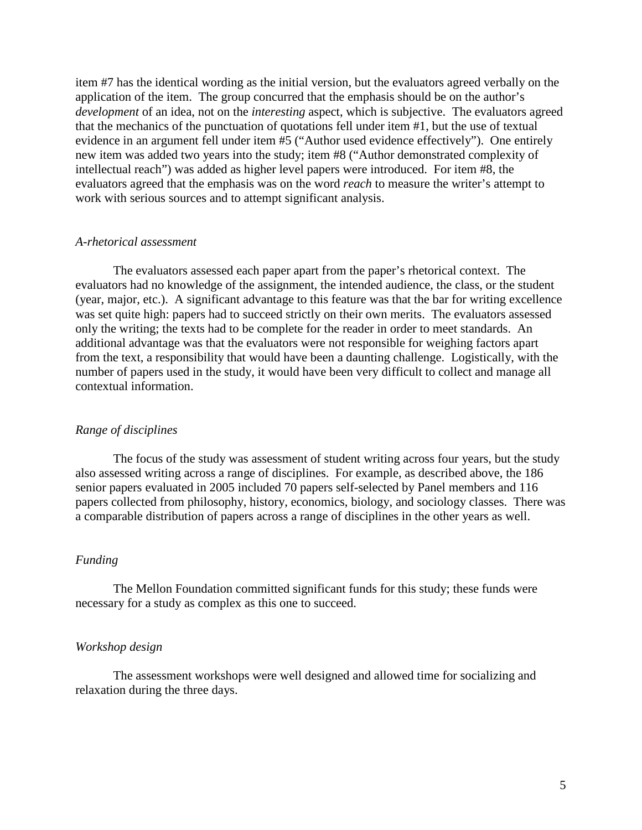item #7 has the identical wording as the initial version, but the evaluators agreed verbally on the application of the item. The group concurred that the emphasis should be on the author's *development* of an idea, not on the *interesting* aspect, which is subjective. The evaluators agreed that the mechanics of the punctuation of quotations fell under item #1, but the use of textual evidence in an argument fell under item #5 ("Author used evidence effectively"). One entirely new item was added two years into the study; item #8 ("Author demonstrated complexity of intellectual reach") was added as higher level papers were introduced. For item #8, the evaluators agreed that the emphasis was on the word *reach* to measure the writer's attempt to work with serious sources and to attempt significant analysis.

## *A-rhetorical assessment*

The evaluators assessed each paper apart from the paper's rhetorical context. The evaluators had no knowledge of the assignment, the intended audience, the class, or the student (year, major, etc.). A significant advantage to this feature was that the bar for writing excellence was set quite high: papers had to succeed strictly on their own merits. The evaluators assessed only the writing; the texts had to be complete for the reader in order to meet standards. An additional advantage was that the evaluators were not responsible for weighing factors apart from the text, a responsibility that would have been a daunting challenge. Logistically, with the number of papers used in the study, it would have been very difficult to collect and manage all contextual information.

## *Range of disciplines*

The focus of the study was assessment of student writing across four years, but the study also assessed writing across a range of disciplines. For example, as described above, the 186 senior papers evaluated in 2005 included 70 papers self-selected by Panel members and 116 papers collected from philosophy, history, economics, biology, and sociology classes. There was a comparable distribution of papers across a range of disciplines in the other years as well.

# *Funding*

The Mellon Foundation committed significant funds for this study; these funds were necessary for a study as complex as this one to succeed.

### *Workshop design*

The assessment workshops were well designed and allowed time for socializing and relaxation during the three days.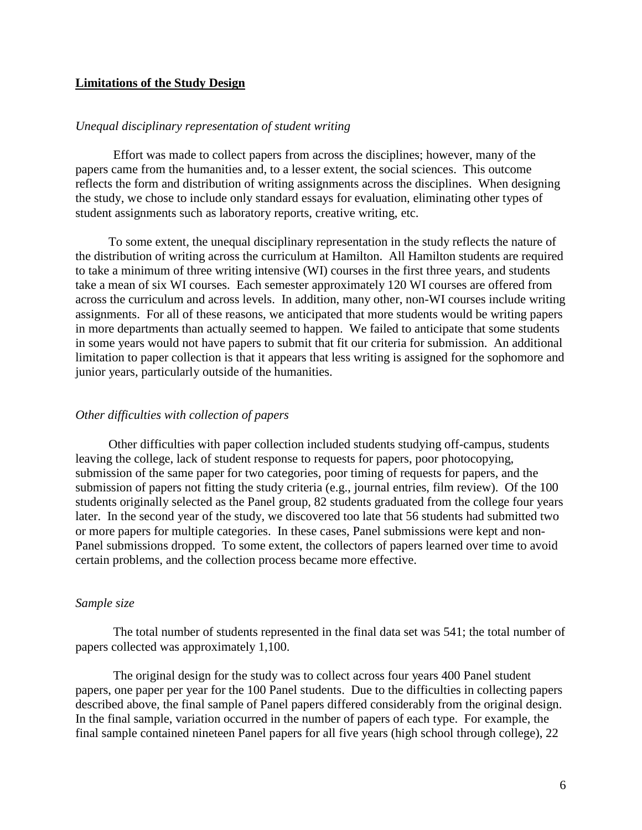# **Limitations of the Study Design**

# *Unequal disciplinary representation of student writing*

Effort was made to collect papers from across the disciplines; however, many of the papers came from the humanities and, to a lesser extent, the social sciences. This outcome reflects the form and distribution of writing assignments across the disciplines. When designing the study, we chose to include only standard essays for evaluation, eliminating other types of student assignments such as laboratory reports, creative writing, etc.

To some extent, the unequal disciplinary representation in the study reflects the nature of the distribution of writing across the curriculum at Hamilton. All Hamilton students are required to take a minimum of three writing intensive (WI) courses in the first three years, and students take a mean of six WI courses. Each semester approximately 120 WI courses are offered from across the curriculum and across levels. In addition, many other, non-WI courses include writing assignments. For all of these reasons, we anticipated that more students would be writing papers in more departments than actually seemed to happen. We failed to anticipate that some students in some years would not have papers to submit that fit our criteria for submission. An additional limitation to paper collection is that it appears that less writing is assigned for the sophomore and junior years, particularly outside of the humanities.

## *Other difficulties with collection of papers*

Other difficulties with paper collection included students studying off-campus, students leaving the college, lack of student response to requests for papers, poor photocopying, submission of the same paper for two categories, poor timing of requests for papers, and the submission of papers not fitting the study criteria (e.g., journal entries, film review). Of the 100 students originally selected as the Panel group, 82 students graduated from the college four years later. In the second year of the study, we discovered too late that 56 students had submitted two or more papers for multiple categories. In these cases, Panel submissions were kept and non-Panel submissions dropped. To some extent, the collectors of papers learned over time to avoid certain problems, and the collection process became more effective.

#### *Sample size*

The total number of students represented in the final data set was 541; the total number of papers collected was approximately 1,100.

The original design for the study was to collect across four years 400 Panel student papers, one paper per year for the 100 Panel students. Due to the difficulties in collecting papers described above, the final sample of Panel papers differed considerably from the original design. In the final sample, variation occurred in the number of papers of each type. For example, the final sample contained nineteen Panel papers for all five years (high school through college), 22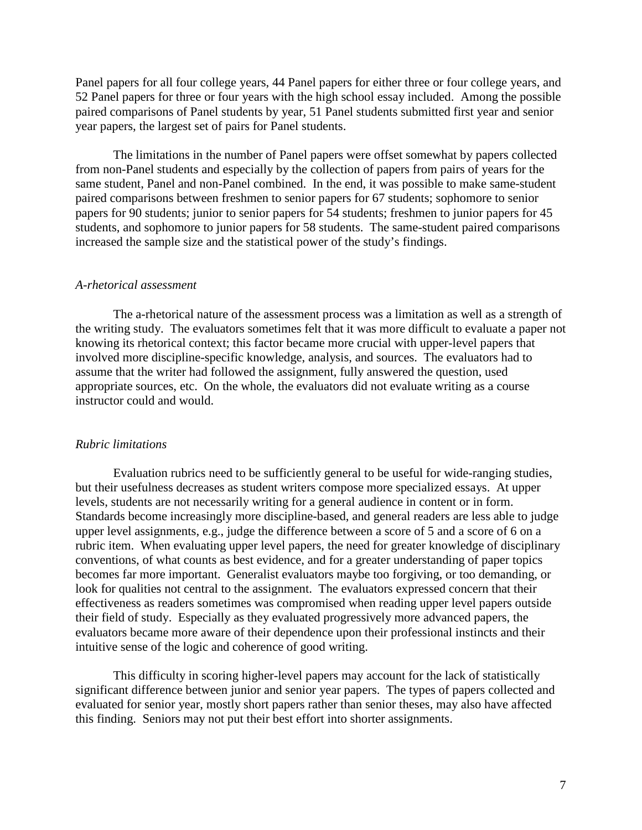Panel papers for all four college years, 44 Panel papers for either three or four college years, and 52 Panel papers for three or four years with the high school essay included. Among the possible paired comparisons of Panel students by year, 51 Panel students submitted first year and senior year papers, the largest set of pairs for Panel students.

The limitations in the number of Panel papers were offset somewhat by papers collected from non-Panel students and especially by the collection of papers from pairs of years for the same student, Panel and non-Panel combined. In the end, it was possible to make same-student paired comparisons between freshmen to senior papers for 67 students; sophomore to senior papers for 90 students; junior to senior papers for 54 students; freshmen to junior papers for 45 students, and sophomore to junior papers for 58 students. The same-student paired comparisons increased the sample size and the statistical power of the study's findings.

#### *A-rhetorical assessment*

The a-rhetorical nature of the assessment process was a limitation as well as a strength of the writing study. The evaluators sometimes felt that it was more difficult to evaluate a paper not knowing its rhetorical context; this factor became more crucial with upper-level papers that involved more discipline-specific knowledge, analysis, and sources. The evaluators had to assume that the writer had followed the assignment, fully answered the question, used appropriate sources, etc. On the whole, the evaluators did not evaluate writing as a course instructor could and would.

#### *Rubric limitations*

Evaluation rubrics need to be sufficiently general to be useful for wide-ranging studies, but their usefulness decreases as student writers compose more specialized essays. At upper levels, students are not necessarily writing for a general audience in content or in form. Standards become increasingly more discipline-based, and general readers are less able to judge upper level assignments, e.g., judge the difference between a score of 5 and a score of 6 on a rubric item. When evaluating upper level papers, the need for greater knowledge of disciplinary conventions, of what counts as best evidence, and for a greater understanding of paper topics becomes far more important. Generalist evaluators maybe too forgiving, or too demanding, or look for qualities not central to the assignment. The evaluators expressed concern that their effectiveness as readers sometimes was compromised when reading upper level papers outside their field of study. Especially as they evaluated progressively more advanced papers, the evaluators became more aware of their dependence upon their professional instincts and their intuitive sense of the logic and coherence of good writing.

This difficulty in scoring higher-level papers may account for the lack of statistically significant difference between junior and senior year papers. The types of papers collected and evaluated for senior year, mostly short papers rather than senior theses, may also have affected this finding. Seniors may not put their best effort into shorter assignments.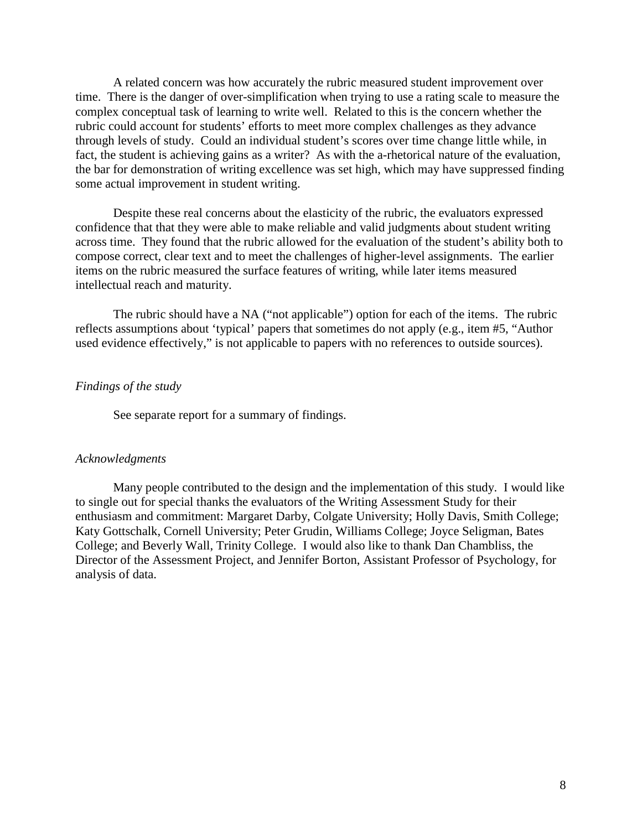A related concern was how accurately the rubric measured student improvement over time. There is the danger of over-simplification when trying to use a rating scale to measure the complex conceptual task of learning to write well. Related to this is the concern whether the rubric could account for students' efforts to meet more complex challenges as they advance through levels of study. Could an individual student's scores over time change little while, in fact, the student is achieving gains as a writer? As with the a-rhetorical nature of the evaluation, the bar for demonstration of writing excellence was set high, which may have suppressed finding some actual improvement in student writing.

Despite these real concerns about the elasticity of the rubric, the evaluators expressed confidence that that they were able to make reliable and valid judgments about student writing across time. They found that the rubric allowed for the evaluation of the student's ability both to compose correct, clear text and to meet the challenges of higher-level assignments. The earlier items on the rubric measured the surface features of writing, while later items measured intellectual reach and maturity.

The rubric should have a NA ("not applicable") option for each of the items. The rubric reflects assumptions about 'typical' papers that sometimes do not apply (e.g., item #5, "Author used evidence effectively," is not applicable to papers with no references to outside sources).

# *Findings of the study*

See separate report for a summary of findings.

#### *Acknowledgments*

Many people contributed to the design and the implementation of this study. I would like to single out for special thanks the evaluators of the Writing Assessment Study for their enthusiasm and commitment: Margaret Darby, Colgate University; Holly Davis, Smith College; Katy Gottschalk, Cornell University; Peter Grudin, Williams College; Joyce Seligman, Bates College; and Beverly Wall, Trinity College. I would also like to thank Dan Chambliss, the Director of the Assessment Project, and Jennifer Borton, Assistant Professor of Psychology, for analysis of data.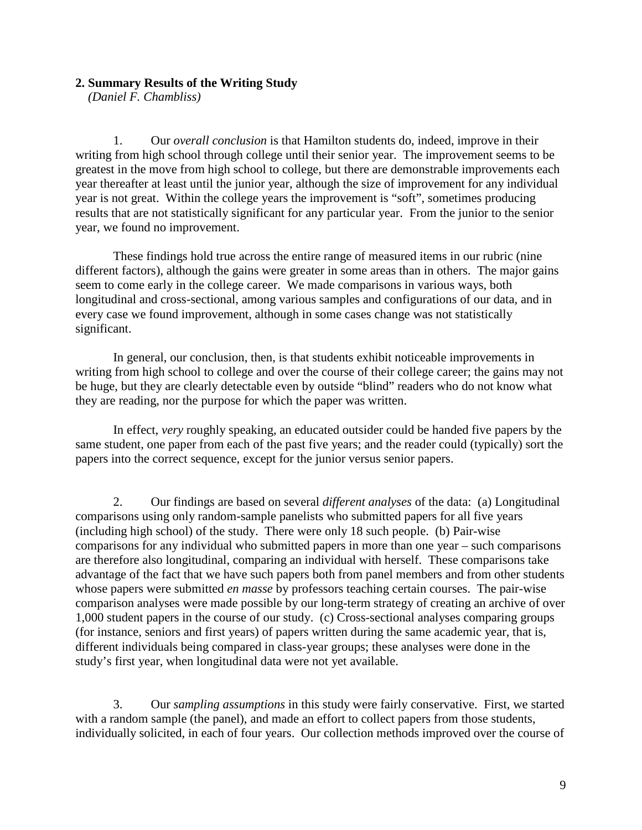## **2. Summary Results of the Writing Study**

*(Daniel F. Chambliss)* 

1. Our *overall conclusion* is that Hamilton students do, indeed, improve in their writing from high school through college until their senior year. The improvement seems to be greatest in the move from high school to college, but there are demonstrable improvements each year thereafter at least until the junior year, although the size of improvement for any individual year is not great. Within the college years the improvement is "soft", sometimes producing results that are not statistically significant for any particular year. From the junior to the senior year, we found no improvement.

These findings hold true across the entire range of measured items in our rubric (nine different factors), although the gains were greater in some areas than in others. The major gains seem to come early in the college career. We made comparisons in various ways, both longitudinal and cross-sectional, among various samples and configurations of our data, and in every case we found improvement, although in some cases change was not statistically significant.

In general, our conclusion, then, is that students exhibit noticeable improvements in writing from high school to college and over the course of their college career; the gains may not be huge, but they are clearly detectable even by outside "blind" readers who do not know what they are reading, nor the purpose for which the paper was written.

 In effect, *very* roughly speaking, an educated outsider could be handed five papers by the same student, one paper from each of the past five years; and the reader could (typically) sort the papers into the correct sequence, except for the junior versus senior papers.

2. Our findings are based on several *different analyses* of the data: (a) Longitudinal comparisons using only random-sample panelists who submitted papers for all five years (including high school) of the study. There were only 18 such people. (b) Pair-wise comparisons for any individual who submitted papers in more than one year – such comparisons are therefore also longitudinal, comparing an individual with herself. These comparisons take advantage of the fact that we have such papers both from panel members and from other students whose papers were submitted *en masse* by professors teaching certain courses. The pair-wise comparison analyses were made possible by our long-term strategy of creating an archive of over 1,000 student papers in the course of our study. (c) Cross-sectional analyses comparing groups (for instance, seniors and first years) of papers written during the same academic year, that is, different individuals being compared in class-year groups; these analyses were done in the study's first year, when longitudinal data were not yet available.

3. Our *sampling assumptions* in this study were fairly conservative. First, we started with a random sample (the panel), and made an effort to collect papers from those students, individually solicited, in each of four years. Our collection methods improved over the course of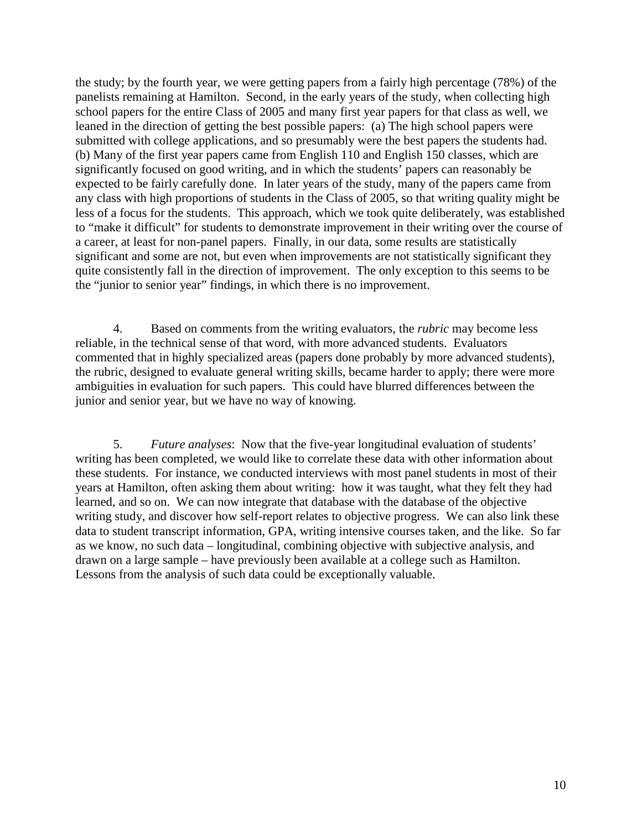the study; by the fourth year, we were getting papers from a fairly high percentage (78%) of the panelists remaining at Hamilton. Second, in the early years of the study, when collecting high school papers for the entire Class of 2005 and many first year papers for that class as well, we leaned in the direction of getting the best possible papers: (a) The high school papers were submitted with college applications, and so presumably were the best papers the students had. (b) Many of the first year papers came from English 110 and English 150 classes, which are significantly focused on good writing, and in which the students' papers can reasonably be expected to be fairly carefully done. In later years of the study, many of the papers came from any class with high proportions of students in the Class of 2005, so that writing quality might be less of a focus for the students. This approach, which we took quite deliberately, was established to "make it difficult" for students to demonstrate improvement in their writing over the course of a career, at least for non-panel papers. Finally, in our data, some results are statistically significant and some are not, but even when improvements are not statistically significant they quite consistently fall in the direction of improvement. The only exception to this seems to be the "junior to senior year" findings, in which there is no improvement.

4. Based on comments from the writing evaluators, the *rubric* may become less reliable, in the technical sense of that word, with more advanced students. Evaluators commented that in highly specialized areas (papers done probably by more advanced students), the rubric, designed to evaluate general writing skills, became harder to apply; there were more ambiguities in evaluation for such papers. This could have blurred differences between the junior and senior year, but we have no way of knowing.

5. *Future analyses*: Now that the five-year longitudinal evaluation of students' writing has been completed, we would like to correlate these data with other information about these students. For instance, we conducted interviews with most panel students in most of their years at Hamilton, often asking them about writing: how it was taught, what they felt they had learned, and so on. We can now integrate that database with the database of the objective writing study, and discover how self-report relates to objective progress. We can also link these data to student transcript information, GPA, writing intensive courses taken, and the like. So far as we know, no such data – longitudinal, combining objective with subjective analysis, and drawn on a large sample – have previously been available at a college such as Hamilton. Lessons from the analysis of such data could be exceptionally valuable.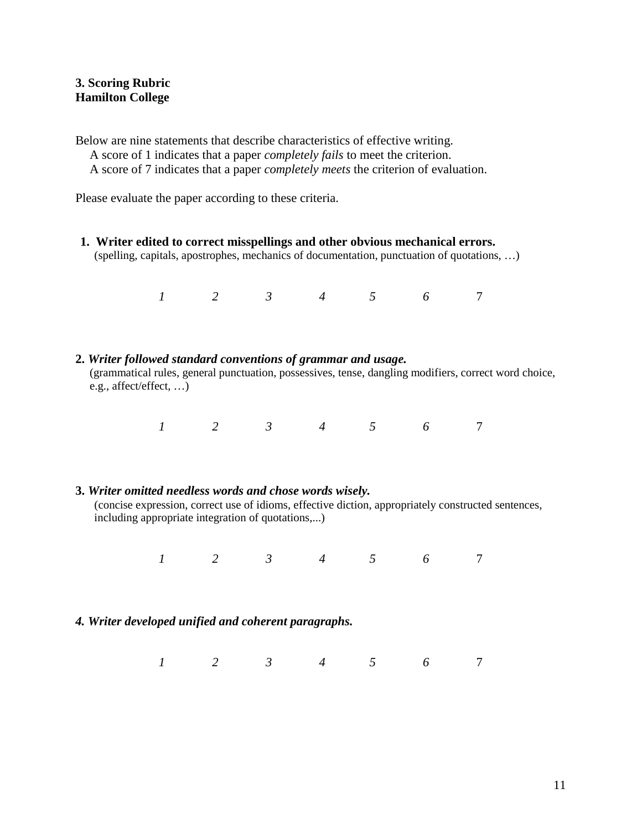# **3. Scoring Rubric Hamilton College**

Below are nine statements that describe characteristics of effective writing. A score of 1 indicates that a paper *completely fails* to meet the criterion.

A score of 7 indicates that a paper *completely meets* the criterion of evaluation.

Please evaluate the paper according to these criteria.

**1. Writer edited to correct misspellings and other obvious mechanical errors.**  (spelling, capitals, apostrophes, mechanics of documentation, punctuation of quotations, …)

*1 2 3 4 5 6* 7

**2.** *Writer followed standard conventions of grammar and usage.* (grammatical rules, general punctuation, possessives, tense, dangling modifiers, correct word choice, e.g., affect/effect, …)

*1 2 3 4 5 6* 7

# **3.** *Writer omitted needless words and chose words wisely.*

(concise expression, correct use of idioms, effective diction, appropriately constructed sentences, including appropriate integration of quotations,...)

*1 2 3 4 5 6* 7

# *4. Writer developed unified and coherent paragraphs.*

*1 2 3 4 5 6* 7